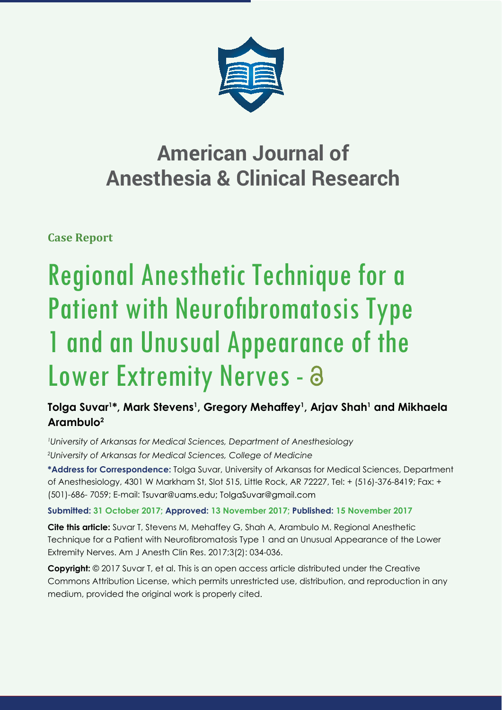

## **American Journal of Anesthesia & Clinical Research**

**Case Report**

# Regional Anesthetic Technique for a Patient with Neurofibromatosis Type 1 and an Unusual Appearance of the Lower Extremity Nerves - a

### **Tolga Suvar1 \*, Mark Stevens1 , Gregory Mehaffey1 , Arjav Shah1 and Mikhaela Arambulo2**

*1 University of Arkansas for Medical Sciences, Department of Anesthesiology 2 University of Arkansas for Medical Sciences, College of Medicine*

**\*Address for Correspondence:** Tolga Suvar, University of Arkansas for Medical Sciences, Department of Anesthesiology, 4301 W Markham St, Slot 515, Little Rock, AR 72227, Tel: + (516)-376-8419; Fax: + (501)-686-7059; E-mail: Tsuvar@uams.edu; TolgaSuvar@gmail.com

**Submitted: 31 October 2017; Approved: 13 November 2017; Published: 15 November 2017**

**Cite this article:** Suvar T, Stevens M, Mehaffey G, Shah A, Arambulo M. Regional Anesthetic Technique for a Patient with Neurofibromatosis Type 1 and an Unusual Appearance of the Lower Extremity Nerves. Am J Anesth Clin Res. 2017;3(2): 034-036.

**Copyright:** © 2017 Suvar T, et al. This is an open access article distributed under the Creative Commons Attribution License, which permits unrestricted use, distribution, and reproduction in any medium, provided the original work is properly cited.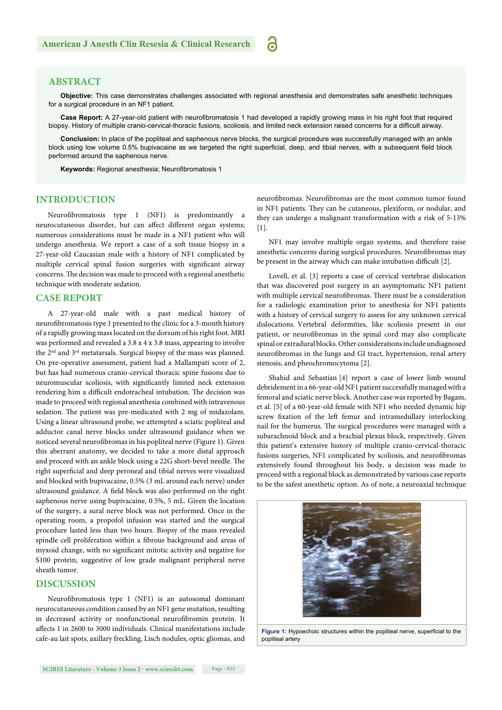#### **ABSTRACT**

**Objective:** This case demonstrates challenges associated with regional anesthesia and demonstrates safe anesthetic techniques for a surgical procedure in an NF1 patient.

്

Case Report: A 27-year-old patient with neurofibromatosis 1 had developed a rapidly growing mass in his right foot that required biopsy. History of multiple cranio-cervical-thoracic fusions, scoliosis, and limited neck extension raised concerns for a difficult airway.

**Conclusion:** In place of the popliteal and saphenous nerve blocks, the surgical procedure was successfully managed with an ankle block using low volume 0.5% bupivacaine as we targeted the right superficial, deep, and tibial nerves, with a subsequent field block performed around the saphenous nerve.

**Keywords: Regional anesthesia; Neurofibromatosis 1** 

#### **INTRODUCTION**

Neurofibromatosis type 1 (NF1) is predominantly a neurocutaneous disorder, but can affect different organ systems; numerous considerations must be made in a NF1 patient who will undergo anesthesia. We report a case of a soft tissue biopsy in a 27-year-old Caucasian male with a history of NF1 complicated by multiple cervical spinal fusion surgeries with significant airway concerns. The decision was made to proceed with a regional anesthetic technique with moderate sedation.

#### **CASE REPORT**

A 27-year-old male with a past medical history of neurofibromatosis type 1 presented to the clinic for a 3-month history of a rapidly growing mass located on the dorsum of his right foot. MRI was performed and revealed a 3.8 x 4 x 3.8 mass, appearing to involve the 2nd and 3rd metatarsals. Surgical biopsy of the mass was planned. On pre-operative assessment, patient had a Mallampati score of 2, but has had numerous cranio-cervical thoracic spine fusions due to neuromuscular scoliosis, with significantly limited neck extension rendering him a difficult endotracheal intubation. The decision was made to proceed with regional anesthesia combined with intravenous sedation. The patient was pre-medicated with 2 mg of midazolam. Using a linear ultrasound probe, we attempted a sciatic popliteal and adductor canal nerve blocks under ultrasound guidance when we noticed several neurofibromas in his popliteal nerve (Figure 1). Given this aberrant anatomy, we decided to take a more distal approach and proceed with an ankle block using a 22G short-bevel needle. The right superficial and deep peroneal and tibial nerves were visualized and blocked with bupivacaine, 0.5% (3 mL around each nerve) under ultrasound guidance. A field block was also performed on the right saphenous nerve using bupivacaine, 0.5%, 5 mL. Given the location of the surgery, a sural nerve block was not performed. Once in the operating room, a propofol infusion was started and the surgical procedure lasted less than two hours. Biopsy of the mass revealed spindle cell proliferation within a fibrous background and areas of myxoid change, with no significant mitotic activity and negative for S100 protein, suggestive of low grade malignant peripheral nerve sheath tumor.

#### **DISCUSSION**

Neurofibromatosis type 1 (NF1) is an autosomal dominant neurocutaneous condition caused by an NF1 gene mutation, resulting in decreased activity or nonfunctional neurofibromin protein. It affects 1 in 2600 to 3000 individuals. Clinical manifestations include cafe-au lait spots, axillary freckling, Lisch nodules, optic gliomas, and

neurofibromas. Neurofibromas are the most common tumor found in NF1 patients. They can be cutaneous, plexiform, or nodular, and they can undergo a malignant transformation with a risk of 5-13% [1].

NF1 may involve multiple organ systems, and therefore raise anesthetic concerns during surgical procedures. Neurofibromas may be present in the airway which can make intubation difficult [2].

Lovell, et al. [3] reports a case of cervical vertebrae dislocation that was discovered post surgery in an asymptomatic NF1 patient with multiple cervical neurofibromas. There must be a consideration for a radiologic examination prior to anesthesia for NF1 patients with a history of cervical surgery to assess for any unknown cervical dislocations. Vertebral deformities, like scoliosis present in our patient, or neurofibromas in the spinal cord may also complicate spinal or extradural blocks. Other considerations include undiagnosed neurofibromas in the lungs and GI tract, hypertension, renal artery stenosis, and pheochromocytoma [2].

Shahid and Sebastian [4] report a case of lower limb wound debridement in a 66-year-old NF1 patient successfully managed with a femoral and sciatic nerve block. Another case was reported by Bagam, et al. [5] of a 60-year-old female with NF1 who needed dynamic hip screw fixation of the left femur and intramedullary interlocking nail for the humerus. The surgical procedures were managed with a subarachnoid block and a brachial plexus block, respectively. Given this patient's extensive history of multiple cranio-cervical-thoracic fusions surgeries, NF1 complicated by scoliosis, and neurofibromas extensively found throughout his body, a decision was made to proceed with a regional block as demonstrated by various case reports to be the safest anesthetic option. As of note, a neuroaxial technique



Figure 1: Hypoechoic structures within the popliteal nerve, superficial to the popliteal artery